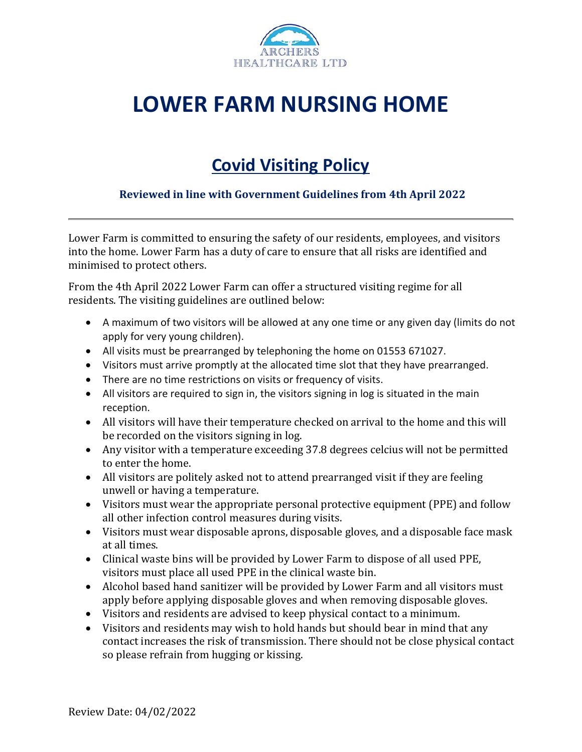

## **LOWER FARM NURSING HOME**

## **Covid Visiting Policy**

## **Reviewed in line with Government Guidelines from 4th April 2022**

Lower Farm is committed to ensuring the safety of our residents, employees, and visitors into the home. Lower Farm has a duty of care to ensure that all risks are identified and minimised to protect others.

From the 4th April 2022 Lower Farm can offer a structured visiting regime for all residents. The visiting guidelines are outlined below:

- A maximum of two visitors will be allowed at any one time or any given day (limits do not apply for very young children).
- All visits must be prearranged by telephoning the home on 01553 671027.
- Visitors must arrive promptly at the allocated time slot that they have prearranged.
- There are no time restrictions on visits or frequency of visits.
- All visitors are required to sign in, the visitors signing in log is situated in the main reception.
- All visitors will have their temperature checked on arrival to the home and this will be recorded on the visitors signing in log.
- Any visitor with a temperature exceeding 37.8 degrees celcius will not be permitted to enter the home.
- All visitors are politely asked not to attend prearranged visit if they are feeling unwell or having a temperature.
- Visitors must wear the appropriate personal protective equipment (PPE) and follow all other infection control measures during visits.
- Visitors must wear disposable aprons, disposable gloves, and a disposable face mask at all times.
- Clinical waste bins will be provided by Lower Farm to dispose of all used PPE, visitors must place all used PPE in the clinical waste bin.
- Alcohol based hand sanitizer will be provided by Lower Farm and all visitors must apply before applying disposable gloves and when removing disposable gloves.
- Visitors and residents are advised to keep physical contact to a minimum.
- Visitors and residents may wish to hold hands but should bear in mind that any contact increases the risk of transmission. There should not be close physical contact so please refrain from hugging or kissing.